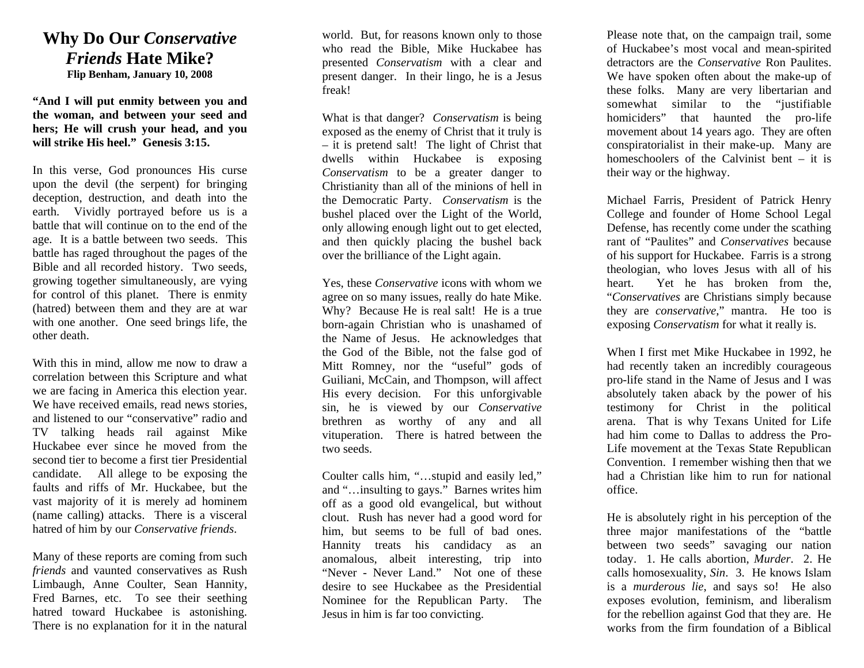## **Why Do Our** *Conservative Friends* **Hate Mike? Flip Benham, January 10, 2008**

**"And I will put enmity between you and the woman, and between your seed and hers; He will crush your head, and you will strike His heel." Genesis 3:15.** 

In this verse, God pronounces His curse upon the devil (the serpent) for bringing deception, destruction, and death into the earth. Vividly portrayed before us is a battle that will continue on to the end of the age. It is a battle between two seeds. This battle has raged throughout the pages of the Bible and all recorded history. Two seeds, growing together simultaneously, are vying for control of this planet. There is enmity (hatred) between them and they are at war with one another. One seed brings life, the other death.

With this in mind, allow me now to draw a correlation between this Scripture and what we are facing in America this election year. We have received emails, read news stories. and listened to our "conservative" radio and TV talking heads rail against Mike Huckabee ever since he moved from the second tier to become a first tier Presidential candidate. All allege to be exposing the faults and riffs of Mr. Huckabee, but the vast majority of it is merely ad hominem (name calling) attacks. There is a visceral hatred of him by our *Conservative friends*.

Many of these reports are coming from such *friends* and vaunted conservatives as Rush Limbaugh, Anne Coulter, Sean Hannity, Fred Barnes, etc. To see their seething hatred toward Huckabee is astonishing. There is no explanation for it in the natural world. But, for reasons known only to those who read the Bible, Mike Huckabee has presented *Conservatism* with a clear and present danger. In their lingo, he is a Jesus freak!

What is that danger? *Conservatism* is being exposed as the enemy of Christ that it truly is – it is pretend salt! The light of Christ that dwells within Huckabee is exposing *Conservatism* to be a greater danger to Christianity than all of the minions of hell in the Democratic Party. *Conservatism* is the bushel placed over the Light of the World, only allowing enough light out to get elected, and then quickly placing the bushel back over the brilliance of the Light again.

Yes, these *Conservative* icons with whom we agree on so many issues, really do hate Mike. Why? Because He is real salt! He is a true born-again Christian who is unashamed of the Name of Jesus. He acknowledges that the God of the Bible, not the false god of Mitt Romney, nor the "useful" gods of Guiliani, McCain, and Thompson, will affect His every decision. For this unforgivable sin, he is viewed by our *Conservative* brethren as worthy of any and all vituperation. There is hatred between the two seeds.

Coulter calls him, "…stupid and easily led," and "…insulting to gays." Barnes writes him off as a good old evangelical, but without clout. Rush has never had a good word for him, but seems to be full of bad ones. Hannity treats his candidacy as an anomalous, albeit interesting, trip into "Never - Never Land." Not one of these desire to see Huckabee as the Presidential Nominee for the Republican Party. The Jesus in him is far too convicting.

Please note that, on the campaign trail, some of Huckabee's most vocal and mean-spirited detractors are the *Conservative* Ron Paulites. We have spoken often about the make-up of these folks. Many are very libertarian and somewhat similar to the "justifiable homiciders" that haunted the pro-life movement about 14 years ago. They are often conspiratorialist in their make-up. Many are homeschoolers of the Calvinist bent – it is their way or the highway.

Michael Farris, President of Patrick Henry College and founder of Home School Legal Defense, has recently come under the scathing rant of "Paulites" and *Conservatives* because of his support for Huckabee. Farris is a strong theologian, who loves Jesus with all of his heart. Yet he has broken from the, "*Conservatives* are Christians simply because they are *conservative*," mantra. He too is exposing *Conservatism* for what it really is.

When I first met Mike Huckabee in 1992, he had recently taken an incredibly courageous pro-life stand in the Name of Jesus and I was absolutely taken aback by the power of his testimony for Christ in the political arena. That is why Texans United for Life had him come to Dallas to address the Pro-Life movement at the Texas State Republican Convention. I remember wishing then that we had a Christian like him to run for national office.

He is absolutely right in his perception of the three major manifestations of the "battle between two seeds" savaging our nation today. 1. He calls abortion, *Murder*. 2. He calls homosexuality, *Sin*. 3. He knows Islam is a *murderous lie*, and says so! He also exposes evolution, feminism, and liberalism for the rebellion against God that they are. He works from the firm foundation of a Biblical